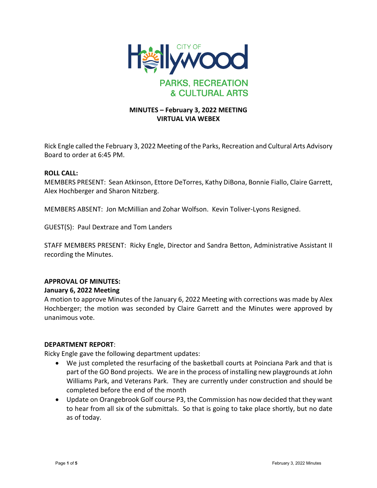

# **MINUTES – February 3, 2022 MEETING VIRTUAL VIA WEBEX**

Rick Engle called the February 3, 2022 Meeting of the Parks, Recreation and Cultural Arts Advisory Board to order at 6:45 PM.

## **ROLL CALL:**

MEMBERS PRESENT: Sean Atkinson, Ettore DeTorres, Kathy DiBona, Bonnie Fiallo, Claire Garrett, Alex Hochberger and Sharon Nitzberg.

MEMBERS ABSENT: Jon McMillian and Zohar Wolfson. Kevin Toliver-Lyons Resigned.

GUEST(S): Paul Dextraze and Tom Landers

STAFF MEMBERS PRESENT: Ricky Engle, Director and Sandra Betton, Administrative Assistant II recording the Minutes.

#### **APPROVAL OF MINUTES:**

#### **January 6, 2022 Meeting**

A motion to approve Minutes of the January 6, 2022 Meeting with corrections was made by Alex Hochberger; the motion was seconded by Claire Garrett and the Minutes were approved by unanimous vote.

#### **DEPARTMENT REPORT**:

Ricky Engle gave the following department updates:

- We just completed the resurfacing of the basketball courts at Poinciana Park and that is part of the GO Bond projects. We are in the process of installing new playgrounds at John Williams Park, and Veterans Park. They are currently under construction and should be completed before the end of the month
- Update on Orangebrook Golf course P3, the Commission has now decided that they want to hear from all six of the submittals. So that is going to take place shortly, but no date as of today.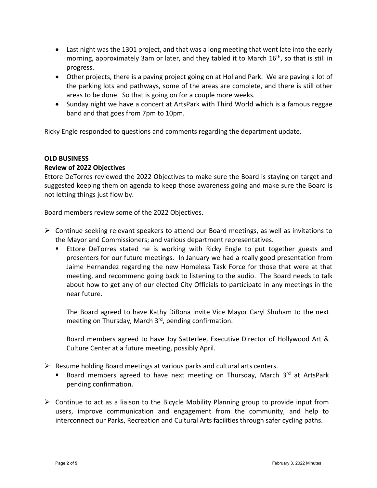- Last night was the 1301 project, and that was a long meeting that went late into the early morning, approximately 3am or later, and they tabled it to March 16<sup>th</sup>, so that is still in progress.
- Other projects, there is a paving project going on at Holland Park. We are paving a lot of the parking lots and pathways, some of the areas are complete, and there is still other areas to be done. So that is going on for a couple more weeks.
- Sunday night we have a concert at ArtsPark with Third World which is a famous reggae band and that goes from 7pm to 10pm.

Ricky Engle responded to questions and comments regarding the department update.

## **OLD BUSINESS**

## **Review of 2022 Objectives**

Ettore DeTorres reviewed the 2022 Objectives to make sure the Board is staying on target and suggested keeping them on agenda to keep those awareness going and make sure the Board is not letting things just flow by.

Board members review some of the 2022 Objectives.

- $\triangleright$  Continue seeking relevant speakers to attend our Board meetings, as well as invitations to the Mayor and Commissioners; and various department representatives.
	- Ettore DeTorres stated he is working with Ricky Engle to put together guests and presenters for our future meetings. In January we had a really good presentation from Jaime Hernandez regarding the new Homeless Task Force for those that were at that meeting, and recommend going back to listening to the audio. The Board needs to talk about how to get any of our elected City Officials to participate in any meetings in the near future.

The Board agreed to have Kathy DiBona invite Vice Mayor Caryl Shuham to the next meeting on Thursday, March 3<sup>rd</sup>, pending confirmation.

Board members agreed to have Joy Satterlee, Executive Director of Hollywood Art & Culture Center at a future meeting, possibly April.

- $\triangleright$  Resume holding Board meetings at various parks and cultural arts centers.
	- Board members agreed to have next meeting on Thursday, March 3<sup>rd</sup> at ArtsPark pending confirmation.
- $\triangleright$  Continue to act as a liaison to the Bicycle Mobility Planning group to provide input from users, improve communication and engagement from the community, and help to interconnect our Parks, Recreation and Cultural Arts facilities through safer cycling paths.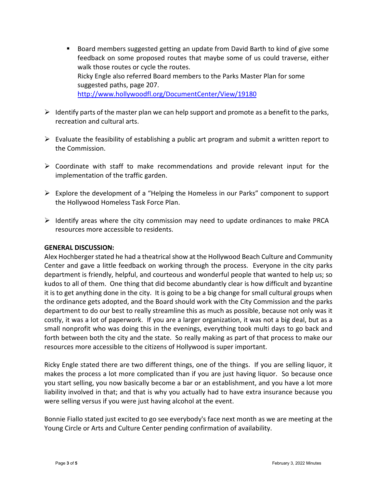- Board members suggested getting an update from David Barth to kind of give some feedback on some proposed routes that maybe some of us could traverse, either walk those routes or cycle the routes. Ricky Engle also referred Board members to the Parks Master Plan for some suggested paths, page 207. <http://www.hollywoodfl.org/DocumentCenter/View/19180>
- $\triangleright$  Identify parts of the master plan we can help support and promote as a benefit to the parks, recreation and cultural arts.
- $\triangleright$  Evaluate the feasibility of establishing a public art program and submit a written report to the Commission.
- $\triangleright$  Coordinate with staff to make recommendations and provide relevant input for the implementation of the traffic garden.
- $\triangleright$  Explore the development of a "Helping the Homeless in our Parks" component to support the Hollywood Homeless Task Force Plan.
- $\triangleright$  Identify areas where the city commission may need to update ordinances to make PRCA resources more accessible to residents.

# **GENERAL DISCUSSION:**

Alex Hochberger stated he had a theatrical show at the Hollywood Beach Culture and Community Center and gave a little feedback on working through the process. Everyone in the city parks department is friendly, helpful, and courteous and wonderful people that wanted to help us; so kudos to all of them. One thing that did become abundantly clear is how difficult and byzantine it is to get anything done in the city. It is going to be a big change for small cultural groups when the ordinance gets adopted, and the Board should work with the City Commission and the parks department to do our best to really streamline this as much as possible, because not only was it costly, it was a lot of paperwork. If you are a larger organization, it was not a big deal, but as a small nonprofit who was doing this in the evenings, everything took multi days to go back and forth between both the city and the state. So really making as part of that process to make our resources more accessible to the citizens of Hollywood is super important.

Ricky Engle stated there are two different things, one of the things. If you are selling liquor, it makes the process a lot more complicated than if you are just having liquor. So because once you start selling, you now basically become a bar or an establishment, and you have a lot more liability involved in that; and that is why you actually had to have extra insurance because you were selling versus if you were just having alcohol at the event.

Bonnie Fiallo stated just excited to go see everybody's face next month as we are meeting at the Young Circle or Arts and Culture Center pending confirmation of availability.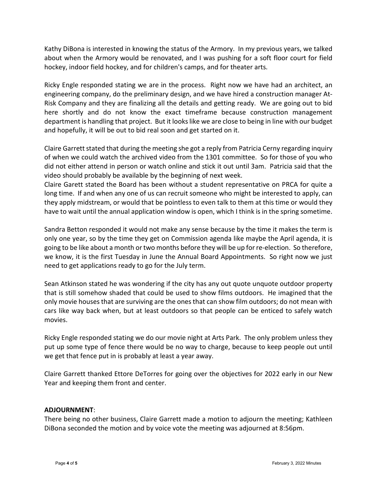Kathy DiBona is interested in knowing the status of the Armory. In my previous years, we talked about when the Armory would be renovated, and I was pushing for a soft floor court for field hockey, indoor field hockey, and for children's camps, and for theater arts.

Ricky Engle responded stating we are in the process. Right now we have had an architect, an engineering company, do the preliminary design, and we have hired a construction manager At-Risk Company and they are finalizing all the details and getting ready. We are going out to bid here shortly and do not know the exact timeframe because construction management department is handling that project. But it looks like we are close to being in line with our budget and hopefully, it will be out to bid real soon and get started on it.

Claire Garrett stated that during the meeting she got a reply from Patricia Cerny regarding inquiry of when we could watch the archived video from the 1301 committee. So for those of you who did not either attend in person or watch online and stick it out until 3am. Patricia said that the video should probably be available by the beginning of next week.

Claire Garett stated the Board has been without a student representative on PRCA for quite a long time. If and when any one of us can recruit someone who might be interested to apply, can they apply midstream, or would that be pointless to even talk to them at this time or would they have to wait until the annual application window is open, which I think is in the spring sometime.

Sandra Betton responded it would not make any sense because by the time it makes the term is only one year, so by the time they get on Commission agenda like maybe the April agenda, it is going to be like about a month or two months before they will be up for re-election. So therefore, we know, it is the first Tuesday in June the Annual Board Appointments. So right now we just need to get applications ready to go for the July term.

Sean Atkinson stated he was wondering if the city has any out quote unquote outdoor property that is still somehow shaded that could be used to show films outdoors. He imagined that the only movie houses that are surviving are the ones that can show film outdoors; do not mean with cars like way back when, but at least outdoors so that people can be enticed to safely watch movies.

Ricky Engle responded stating we do our movie night at Arts Park. The only problem unless they put up some type of fence there would be no way to charge, because to keep people out until we get that fence put in is probably at least a year away.

Claire Garrett thanked Ettore DeTorres for going over the objectives for 2022 early in our New Year and keeping them front and center.

# **ADJOURNMENT**:

There being no other business, Claire Garrett made a motion to adjourn the meeting; Kathleen DiBona seconded the motion and by voice vote the meeting was adjourned at 8:56pm.